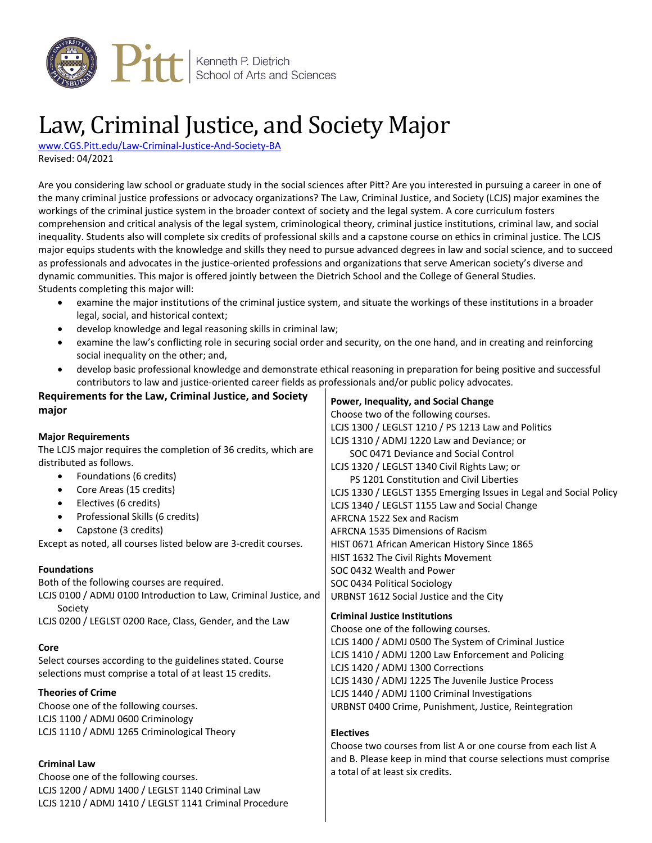

# Law, Criminal Justice, and Society Major

[www.CGS.Pitt.edu/Law-Criminal-Justice-And-Society-BA](http://www.cgs.pitt.edu/Law-Criminal-Justice-And-Society-BA) Revised: 04/2021

Are you considering law school or graduate study in the social sciences after Pitt? Are you interested in pursuing a career in one of the many criminal justice professions or advocacy organizations? The Law, Criminal Justice, and Society (LCJS) major examines the workings of the criminal justice system in the broader context of society and the legal system. A core curriculum fosters comprehension and critical analysis of the legal system, criminological theory, criminal justice institutions, criminal law, and social inequality. Students also will complete six credits of professional skills and a capstone course on ethics in criminal justice. The LCJS major equips students with the knowledge and skills they need to pursue advanced degrees in law and social science, and to succeed as professionals and advocates in the justice-oriented professions and organizations that serve American society's diverse and dynamic communities. This major is offered jointly between the Dietrich School and the College of General Studies. Students completing this major will:

- examine the major institutions of the criminal justice system, and situate the workings of these institutions in a broader legal, social, and historical context;
- develop knowledge and legal reasoning skills in criminal law;
- examine the law's conflicting role in securing social order and security, on the one hand, and in creating and reinforcing social inequality on the other; and,
- develop basic professional knowledge and demonstrate ethical reasoning in preparation for being positive and successful contributors to law and justice-oriented career fields as professionals and/or public policy advocates.

| Requirements for the Law, Criminal Justice, and Society          | Power, Inequality, and Social Change                               |
|------------------------------------------------------------------|--------------------------------------------------------------------|
| major                                                            | Choose two of the following courses.                               |
|                                                                  | LCJS 1300 / LEGLST 1210 / PS 1213 Law and Politics                 |
| <b>Major Requirements</b>                                        | LCJS 1310 / ADMJ 1220 Law and Deviance; or                         |
| The LCJS major requires the completion of 36 credits, which are  | SOC 0471 Deviance and Social Control                               |
| distributed as follows.                                          | LCJS 1320 / LEGLST 1340 Civil Rights Law; or                       |
| Foundations (6 credits)                                          | PS 1201 Constitution and Civil Liberties                           |
| Core Areas (15 credits)                                          | LCJS 1330 / LEGLST 1355 Emerging Issues in Legal and Social Policy |
| Electives (6 credits)                                            | LCJS 1340 / LEGLST 1155 Law and Social Change                      |
| Professional Skills (6 credits)                                  | AFRCNA 1522 Sex and Racism                                         |
| Capstone (3 credits)                                             | AFRCNA 1535 Dimensions of Racism                                   |
| Except as noted, all courses listed below are 3-credit courses.  | HIST 0671 African American History Since 1865                      |
|                                                                  | HIST 1632 The Civil Rights Movement                                |
| <b>Foundations</b>                                               | SOC 0432 Wealth and Power                                          |
| Both of the following courses are required.                      | SOC 0434 Political Sociology                                       |
| LCJS 0100 / ADMJ 0100 Introduction to Law, Criminal Justice, and | URBNST 1612 Social Justice and the City                            |
| Society                                                          | <b>Criminal Justice Institutions</b>                               |
| LCJS 0200 / LEGLST 0200 Race, Class, Gender, and the Law         | Choose one of the following courses.                               |
|                                                                  | LCJS 1400 / ADMJ 0500 The System of Criminal Justice               |
| Core                                                             | LCJS 1410 / ADMJ 1200 Law Enforcement and Policing                 |
| Select courses according to the guidelines stated. Course        | LCJS 1420 / ADMJ 1300 Corrections                                  |
| selections must comprise a total of at least 15 credits.         | LCJS 1430 / ADMJ 1225 The Juvenile Justice Process                 |
| <b>Theories of Crime</b>                                         | LCJS 1440 / ADMJ 1100 Criminal Investigations                      |
| Choose one of the following courses.                             | URBNST 0400 Crime, Punishment, Justice, Reintegration              |
| LCJS 1100 / ADMJ 0600 Criminology                                |                                                                    |
| LCJS 1110 / ADMJ 1265 Criminological Theory                      | <b>Electives</b>                                                   |
|                                                                  | Choose two courses from list A or one course from each list A      |
|                                                                  | and B. Please keep in mind that course selections must comprise    |
| <b>Criminal Law</b>                                              | a total of at least six credits.                                   |
| Choose one of the following courses.                             |                                                                    |
| LCJS 1200 / ADMJ 1400 / LEGLST 1140 Criminal Law                 |                                                                    |
| LCJS 1210 / ADMJ 1410 / LEGLST 1141 Criminal Procedure           |                                                                    |
|                                                                  |                                                                    |